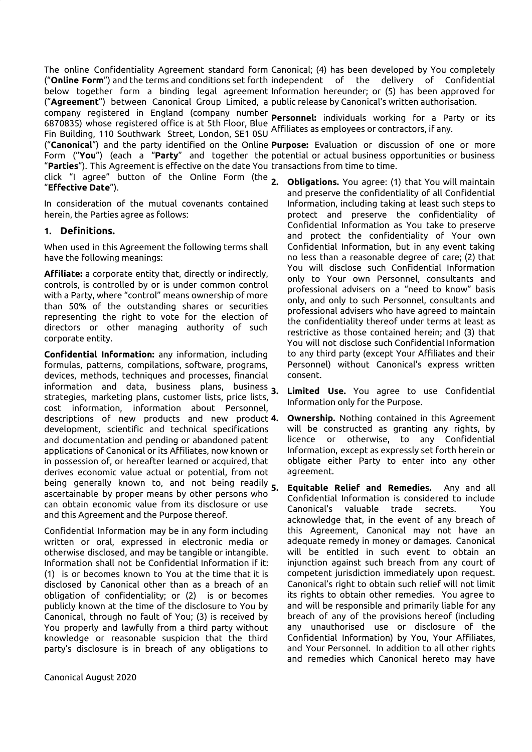The online Confidentiality Agreement standard form Canonical; (4) has been developed by You completely ("**Online Form**") and the terms and conditions set forth independent of the delivery of Confidential below together form a binding legal agreement Information hereunder; or (5) has been approved for ("**Agreement**") between Canonical Group Limited, a public release by Canonical's written authorisation.

company registered in England (company number Fin Building, 110 Southwark Street, London, SE1 0SU Affiliates as employees or contractors, if any.

"**Parties**"). This Agreement is effective on the date You transactions from time to time.

click "I agree" button of the Online Form (the 2 "**Effective Date**").

In consideration of the mutual covenants contained herein, the Parties agree as follows:

## **1. Definitions.**

When used in this Agreement the following terms shall have the following meanings:

**Affiliate:** a corporate entity that, directly or indirectly, controls, is controlled by or is under common control with a Party, where "control" means ownership of more than 50% of the outstanding shares or securities representing the right to vote for the election of directors or other managing authority of such corporate entity.

**Confidential Information:** any information, including formulas, patterns, compilations, software, programs, devices, methods, techniques and processes, financial information and data, business plans, business 3. strategies, marketing plans, customer lists, price lists, cost information, information about Personnel, descriptions of new products and new product 4. development, scientific and technical specifications and documentation and pending or abandoned patent applications of Canonical or its Affiliates, now known or in possession of, or hereafter learned or acquired, that derives economic value actual or potential, from not being generally known to, and not being readily 5. ascertainable by proper means by other persons who can obtain economic value from its disclosure or use and this Agreement and the Purpose thereof.

Confidential Information may be in any form including written or oral, expressed in electronic media or otherwise disclosed, and may be tangible or intangible. Information shall not be Confidential Information if it: (1) is or becomes known to You at the time that it is disclosed by Canonical other than as a breach of an obligation of confidentiality; or (2) is or becomes publicly known at the time of the disclosure to You by Canonical, through no fault of You; (3) is received by You properly and lawfully from a third party without knowledge or reasonable suspicion that the third party's disclosure is in breach of any obligations to

Canonical August 2020

6870835) whose registered office is at 5th Floor, Blue **Personnel:** individuals working for a Party or its

("**Canonical**") and the party identified on the Online **Purpose:** Evaluation or discussion of one or more Form ("**You**") (each a "**Party**" and together the potential or actual business opportunities or business

- **2. Obligations.** You agree: (1) that You will maintain and preserve the confidentiality of all Confidential Information, including taking at least such steps to protect and preserve the confidentiality of Confidential Information as You take to preserve and protect the confidentiality of Your own Confidential Information, but in any event taking no less than a reasonable degree of care; (2) that You will disclose such Confidential Information only to Your own Personnel, consultants and professional advisers on a "need to know" basis only, and only to such Personnel, consultants and professional advisers who have agreed to maintain the confidentiality thereof under terms at least as restrictive as those contained herein; and (3) that You will not disclose such Confidential Information to any third party (except Your Affiliates and their Personnel) without Canonical's express written consent.
- **3. Limited Use.** You agree to use Confidential Information only for the Purpose.
- **Ownership.** Nothing contained in this Agreement will be constructed as granting any rights, by licence or otherwise, to any Confidential Information, except as expressly set forth herein or obligate either Party to enter into any other agreement.
- **5. Equitable Relief and Remedies.** Any and all Confidential Information is considered to include Canonical's valuable trade secrets. You acknowledge that, in the event of any breach of this Agreement, Canonical may not have an adequate remedy in money or damages. Canonical will be entitled in such event to obtain an injunction against such breach from any court of competent jurisdiction immediately upon request. Canonical's right to obtain such relief will not limit its rights to obtain other remedies. You agree to and will be responsible and primarily liable for any breach of any of the provisions hereof (including any unauthorised use or disclosure of the Confidential Information) by You, Your Affiliates, and Your Personnel. In addition to all other rights and remedies which Canonical hereto may have